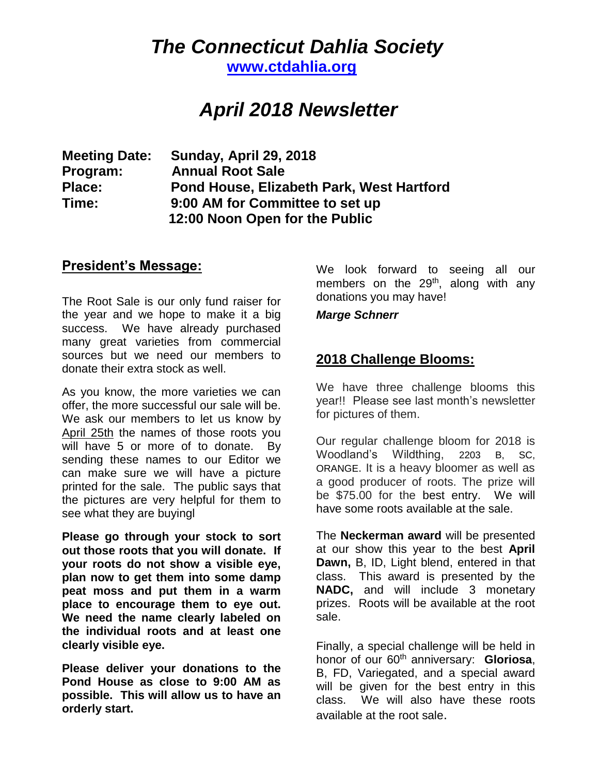## *The Connecticut Dahlia Society*

**[www.ctdahlia.org](http://www.ctdahlia.org/)**

# *April 2018 Newsletter*

**Meeting Date: Sunday, April 29, 2018 Program: Annual Root Sale Place: Pond House, Elizabeth Park, West Hartford Time: 9:00 AM for Committee to set up 12:00 Noon Open for the Public**

#### **President's Message:**

The Root Sale is our only fund raiser for the year and we hope to make it a big success. We have already purchased many great varieties from commercial sources but we need our members to donate their extra stock as well.

As you know, the more varieties we can offer, the more successful our sale will be. We ask our members to let us know by April 25th the names of those roots you will have 5 or more of to donate. By sending these names to our Editor we can make sure we will have a picture printed for the sale. The public says that the pictures are very helpful for them to see what they are buyingl

**Please go through your stock to sort out those roots that you will donate. If your roots do not show a visible eye, plan now to get them into some damp peat moss and put them in a warm place to encourage them to eye out. We need the name clearly labeled on the individual roots and at least one clearly visible eye.**

**Please deliver your donations to the Pond House as close to 9:00 AM as possible. This will allow us to have an orderly start.**

We look forward to seeing all our members on the  $29<sup>th</sup>$ , along with any donations you may have!

*Marge Schnerr*

### **2018 Challenge Blooms:**

We have three challenge blooms this year!! Please see last month's newsletter for pictures of them.

Our regular challenge bloom for 2018 is Woodland's Wildthing, 2203 B, SC, ORANGE. It is a heavy bloomer as well as a good producer of roots. The prize will be \$75.00 for the best entry. We will have some roots available at the sale.

The **Neckerman award** will be presented at our show this year to the best **April Dawn,** B, ID, Light blend, entered in that class. This award is presented by the **NADC,** and will include 3 monetary prizes. Roots will be available at the root sale.

Finally, a special challenge will be held in honor of our 60th anniversary: **Gloriosa**, B, FD, Variegated, and a special award will be given for the best entry in this class. We will also have these roots available at the root sale.